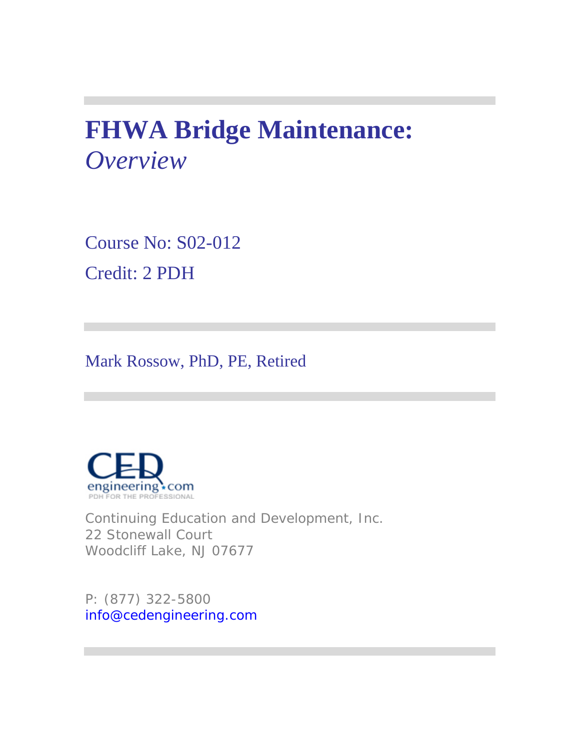# **FHWA Bridge Maintenance:**  *Overview*

Course No: S02-012 Credit: 2 PDH

Mark Rossow, PhD, PE, Retired



Continuing Education and Development, Inc. 22 Stonewall Court Woodcliff Lake, NJ 07677

P: (877) 322-5800 info@cedengineering.com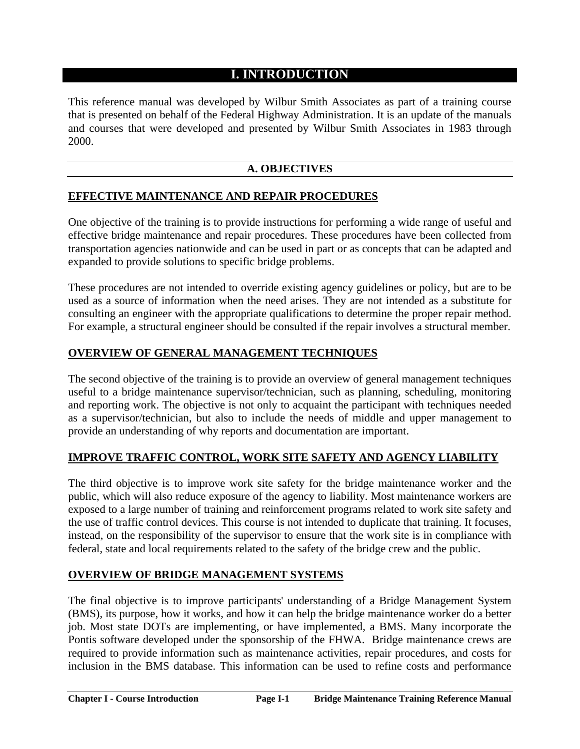# **I. INTRODUCTION**

This reference manual was developed by Wilbur Smith Associates as part of a training course that is presented on behalf of the Federal Highway Administration. It is an update of the manuals and courses that were developed and presented by Wilbur Smith Associates in 1983 through 2000.

## **A. OBJECTIVES**

## **EFFECTIVE MAINTENANCE AND REPAIR PROCEDURES**

One objective of the training is to provide instructions for performing a wide range of useful and effective bridge maintenance and repair procedures. These procedures have been collected from transportation agencies nationwide and can be used in part or as concepts that can be adapted and expanded to provide solutions to specific bridge problems.

These procedures are not intended to override existing agency guidelines or policy, but are to be used as a source of information when the need arises. They are not intended as a substitute for consulting an engineer with the appropriate qualifications to determine the proper repair method. For example, a structural engineer should be consulted if the repair involves a structural member.

## **OVERVIEW OF GENERAL MANAGEMENT TECHNIQUES**

The second objective of the training is to provide an overview of general management techniques useful to a bridge maintenance supervisor/technician, such as planning, scheduling, monitoring and reporting work. The objective is not only to acquaint the participant with techniques needed as a supervisor/technician, but also to include the needs of middle and upper management to provide an understanding of why reports and documentation are important.

# **IMPROVE TRAFFIC CONTROL, WORK SITE SAFETY AND AGENCY LIABILITY**

The third objective is to improve work site safety for the bridge maintenance worker and the public, which will also reduce exposure of the agency to liability. Most maintenance workers are exposed to a large number of training and reinforcement programs related to work site safety and the use of traffic control devices. This course is not intended to duplicate that training. It focuses, instead, on the responsibility of the supervisor to ensure that the work site is in compliance with federal, state and local requirements related to the safety of the bridge crew and the public.

## **OVERVIEW OF BRIDGE MANAGEMENT SYSTEMS**

The final objective is to improve participants' understanding of a Bridge Management System (BMS), its purpose, how it works, and how it can help the bridge maintenance worker do a better job. Most state DOTs are implementing, or have implemented, a BMS. Many incorporate the Pontis software developed under the sponsorship of the FHWA. Bridge maintenance crews are required to provide information such as maintenance activities, repair procedures, and costs for inclusion in the BMS database. This information can be used to refine costs and performance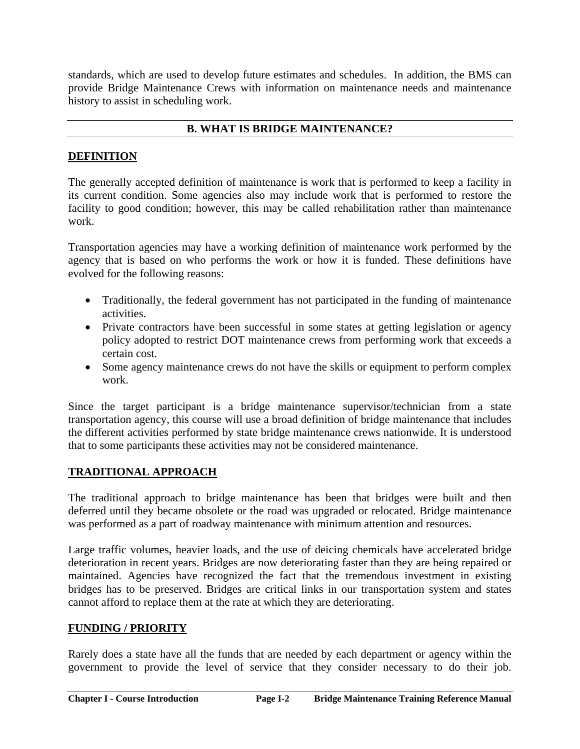standards, which are used to develop future estimates and schedules. In addition, the BMS can provide Bridge Maintenance Crews with information on maintenance needs and maintenance history to assist in scheduling work.

# **B. WHAT IS BRIDGE MAINTENANCE?**

# **DEFINITION**

The generally accepted definition of maintenance is work that is performed to keep a facility in its current condition. Some agencies also may include work that is performed to restore the facility to good condition; however, this may be called rehabilitation rather than maintenance work.

Transportation agencies may have a working definition of maintenance work performed by the agency that is based on who performs the work or how it is funded. These definitions have evolved for the following reasons:

- Traditionally, the federal government has not participated in the funding of maintenance activities.
- Private contractors have been successful in some states at getting legislation or agency policy adopted to restrict DOT maintenance crews from performing work that exceeds a certain cost.
- Some agency maintenance crews do not have the skills or equipment to perform complex work.

Since the target participant is a bridge maintenance supervisor/technician from a state transportation agency, this course will use a broad definition of bridge maintenance that includes the different activities performed by state bridge maintenance crews nationwide. It is understood that to some participants these activities may not be considered maintenance.

# **TRADITIONAL APPROACH**

The traditional approach to bridge maintenance has been that bridges were built and then deferred until they became obsolete or the road was upgraded or relocated. Bridge maintenance was performed as a part of roadway maintenance with minimum attention and resources.

Large traffic volumes, heavier loads, and the use of deicing chemicals have accelerated bridge deterioration in recent years. Bridges are now deteriorating faster than they are being repaired or maintained. Agencies have recognized the fact that the tremendous investment in existing bridges has to be preserved. Bridges are critical links in our transportation system and states cannot afford to replace them at the rate at which they are deteriorating.

# **FUNDING / PRIORITY**

Rarely does a state have all the funds that are needed by each department or agency within the government to provide the level of service that they consider necessary to do their job.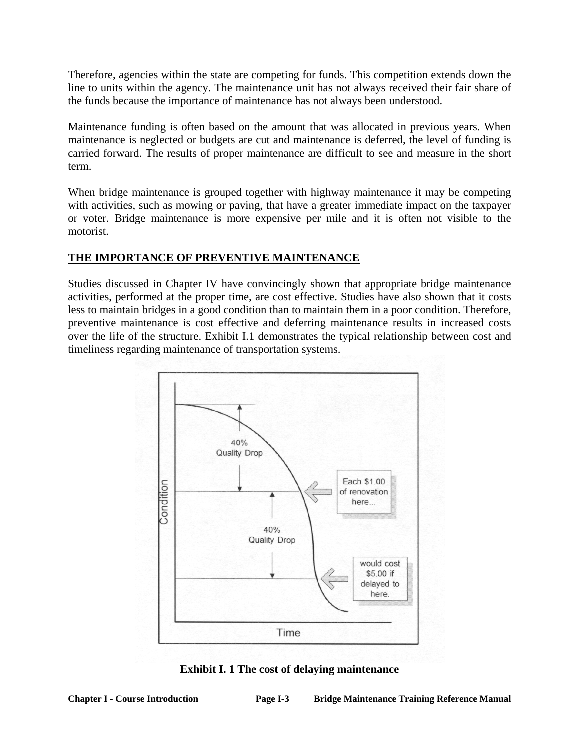Therefore, agencies within the state are competing for funds. This competition extends down the line to units within the agency. The maintenance unit has not always received their fair share of the funds because the importance of maintenance has not always been understood.

Maintenance funding is often based on the amount that was allocated in previous years. When maintenance is neglected or budgets are cut and maintenance is deferred, the level of funding is carried forward. The results of proper maintenance are difficult to see and measure in the short term.

When bridge maintenance is grouped together with highway maintenance it may be competing with activities, such as mowing or paving, that have a greater immediate impact on the taxpayer or voter. Bridge maintenance is more expensive per mile and it is often not visible to the motorist.

# **THE IMPORTANCE OF PREVENTIVE MAINTENANCE**

Studies discussed in Chapter IV have convincingly shown that appropriate bridge maintenance activities, performed at the proper time, are cost effective. Studies have also shown that it costs less to maintain bridges in a good condition than to maintain them in a poor condition. Therefore, preventive maintenance is cost effective and deferring maintenance results in increased costs over the life of the structure. Exhibit I.1 demonstrates the typical relationship between cost and timeliness regarding maintenance of transportation systems.



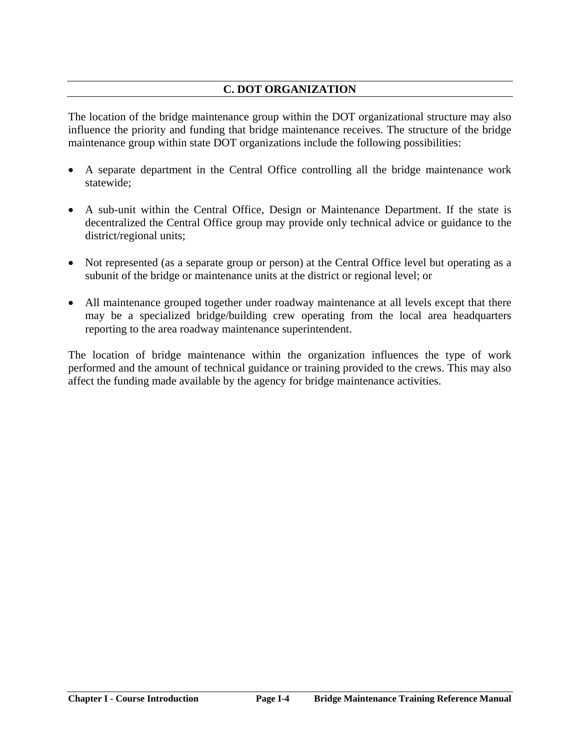# **C. DOT ORGANIZATION**

The location of the bridge maintenance group within the DOT organizational structure may also influence the priority and funding that bridge maintenance receives. The structure of the bridge maintenance group within state DOT organizations include the following possibilities:

- A separate department in the Central Office controlling all the bridge maintenance work statewide;
- A sub-unit within the Central Office, Design or Maintenance Department. If the state is decentralized the Central Office group may provide only technical advice or guidance to the district/regional units;
- Not represented (as a separate group or person) at the Central Office level but operating as a subunit of the bridge or maintenance units at the district or regional level; or
- All maintenance grouped together under roadway maintenance at all levels except that there may be a specialized bridge/building crew operating from the local area headquarters reporting to the area roadway maintenance superintendent.

The location of bridge maintenance within the organization influences the type of work performed and the amount of technical guidance or training provided to the crews. This may also affect the funding made available by the agency for bridge maintenance activities.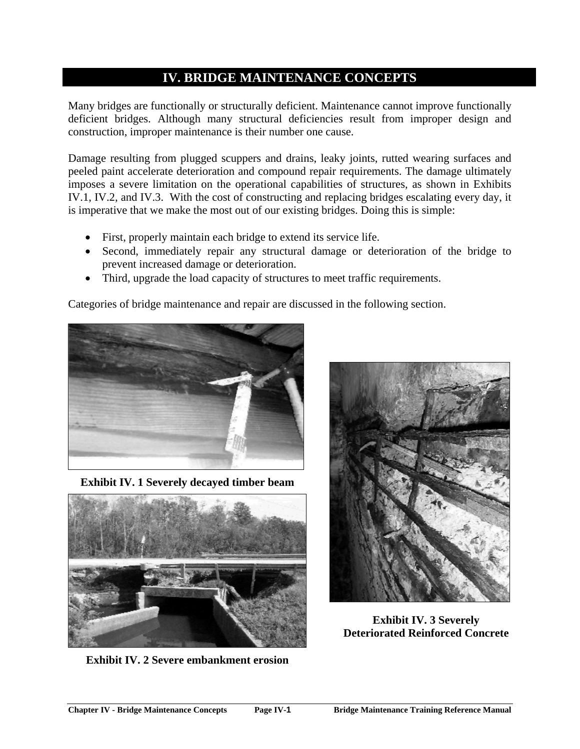# **IV. BRIDGE MAINTENANCE CONCEPTS**

Many bridges are functionally or structurally deficient. Maintenance cannot improve functionally deficient bridges. Although many structural deficiencies result from improper design and construction, improper maintenance is their number one cause.

Damage resulting from plugged scuppers and drains, leaky joints, rutted wearing surfaces and peeled paint accelerate deterioration and compound repair requirements. The damage ultimately imposes a severe limitation on the operational capabilities of structures, as shown in Exhibits IV.1, IV.2, and IV.3. With the cost of constructing and replacing bridges escalating every day, it is imperative that we make the most out of our existing bridges. Doing this is simple:

- First, properly maintain each bridge to extend its service life.
- Second, immediately repair any structural damage or deterioration of the bridge to prevent increased damage or deterioration.
- Third, upgrade the load capacity of structures to meet traffic requirements.

Categories of bridge maintenance and repair are discussed in the following section.



**Exhibit IV. 1 Severely decayed timber beam** 



**Exhibit IV. 2 Severe embankment erosion** 



**Exhibit IV. 3 Severely Deteriorated Reinforced Concrete**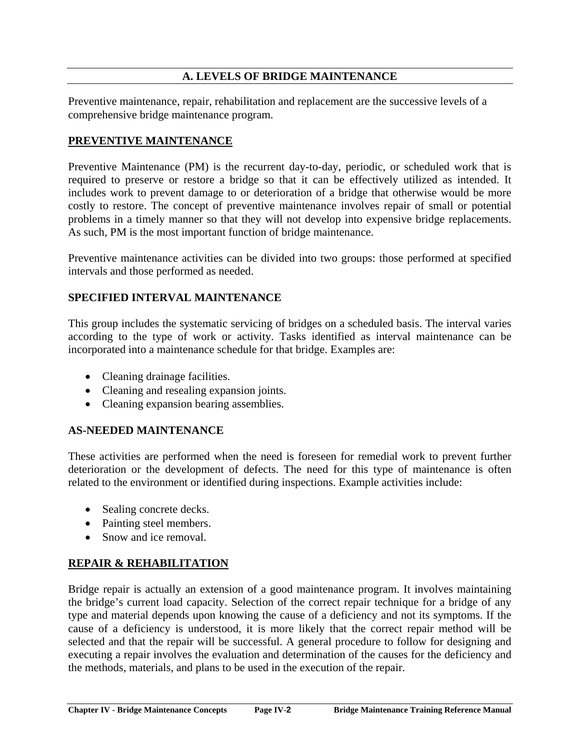## **A. LEVELS OF BRIDGE MAINTENANCE**

Preventive maintenance, repair, rehabilitation and replacement are the successive levels of a comprehensive bridge maintenance program.

#### **PREVENTIVE MAINTENANCE**

Preventive Maintenance (PM) is the recurrent day-to-day, periodic, or scheduled work that is required to preserve or restore a bridge so that it can be effectively utilized as intended. It includes work to prevent damage to or deterioration of a bridge that otherwise would be more costly to restore. The concept of preventive maintenance involves repair of small or potential problems in a timely manner so that they will not develop into expensive bridge replacements. As such, PM is the most important function of bridge maintenance.

Preventive maintenance activities can be divided into two groups: those performed at specified intervals and those performed as needed.

#### **SPECIFIED INTERVAL MAINTENANCE**

This group includes the systematic servicing of bridges on a scheduled basis. The interval varies according to the type of work or activity. Tasks identified as interval maintenance can be incorporated into a maintenance schedule for that bridge. Examples are:

- Cleaning drainage facilities.
- Cleaning and resealing expansion joints.
- Cleaning expansion bearing assemblies.

## **AS-NEEDED MAINTENANCE**

These activities are performed when the need is foreseen for remedial work to prevent further deterioration or the development of defects. The need for this type of maintenance is often related to the environment or identified during inspections. Example activities include:

- Sealing concrete decks.
- Painting steel members.
- Snow and ice removal.

## **REPAIR & REHABILITATION**

Bridge repair is actually an extension of a good maintenance program. It involves maintaining the bridge's current load capacity. Selection of the correct repair technique for a bridge of any type and material depends upon knowing the cause of a deficiency and not its symptoms. If the cause of a deficiency is understood, it is more likely that the correct repair method will be selected and that the repair will be successful. A general procedure to follow for designing and executing a repair involves the evaluation and determination of the causes for the deficiency and the methods, materials, and plans to be used in the execution of the repair.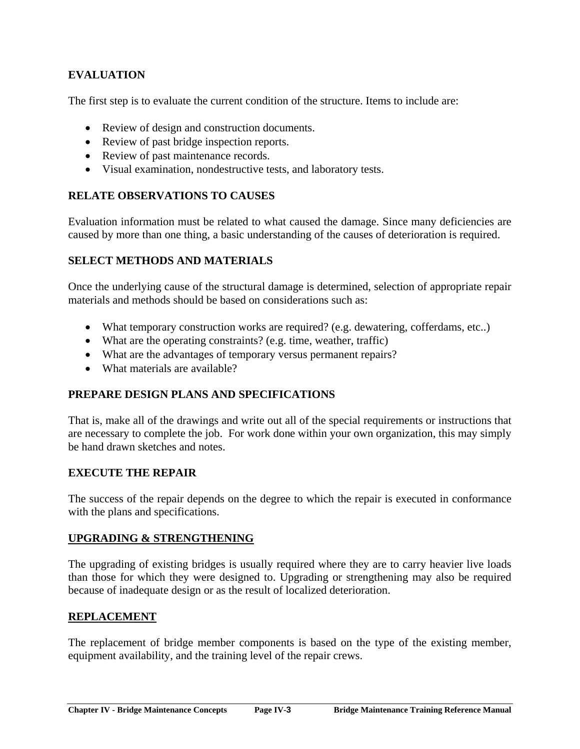# **EVALUATION**

The first step is to evaluate the current condition of the structure. Items to include are:

- Review of design and construction documents.
- Review of past bridge inspection reports.
- Review of past maintenance records.
- Visual examination, nondestructive tests, and laboratory tests.

## **RELATE OBSERVATIONS TO CAUSES**

Evaluation information must be related to what caused the damage. Since many deficiencies are caused by more than one thing, a basic understanding of the causes of deterioration is required.

## **SELECT METHODS AND MATERIALS**

Once the underlying cause of the structural damage is determined, selection of appropriate repair materials and methods should be based on considerations such as:

- What temporary construction works are required? (e.g. dewatering, cofferdams, etc..)
- What are the operating constraints? (e.g. time, weather, traffic)
- What are the advantages of temporary versus permanent repairs?
- What materials are available?

## **PREPARE DESIGN PLANS AND SPECIFICATIONS**

That is, make all of the drawings and write out all of the special requirements or instructions that are necessary to complete the job. For work done within your own organization, this may simply be hand drawn sketches and notes.

## **EXECUTE THE REPAIR**

The success of the repair depends on the degree to which the repair is executed in conformance with the plans and specifications.

#### **UPGRADING & STRENGTHENING**

The upgrading of existing bridges is usually required where they are to carry heavier live loads than those for which they were designed to. Upgrading or strengthening may also be required because of inadequate design or as the result of localized deterioration.

## **REPLACEMENT**

The replacement of bridge member components is based on the type of the existing member, equipment availability, and the training level of the repair crews.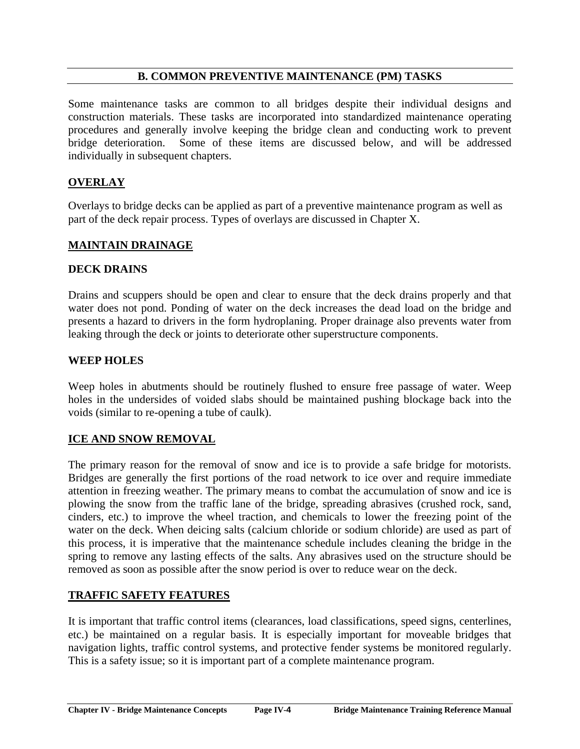## **B. COMMON PREVENTIVE MAINTENANCE (PM) TASKS**

Some maintenance tasks are common to all bridges despite their individual designs and construction materials. These tasks are incorporated into standardized maintenance operating procedures and generally involve keeping the bridge clean and conducting work to prevent bridge deterioration. Some of these items are discussed below, and will be addressed individually in subsequent chapters.

## **OVERLAY**

Overlays to bridge decks can be applied as part of a preventive maintenance program as well as part of the deck repair process. Types of overlays are discussed in Chapter X.

#### **MAINTAIN DRAINAGE**

#### **DECK DRAINS**

Drains and scuppers should be open and clear to ensure that the deck drains properly and that water does not pond. Ponding of water on the deck increases the dead load on the bridge and presents a hazard to drivers in the form hydroplaning. Proper drainage also prevents water from leaking through the deck or joints to deteriorate other superstructure components.

#### **WEEP HOLES**

Weep holes in abutments should be routinely flushed to ensure free passage of water. Weep holes in the undersides of voided slabs should be maintained pushing blockage back into the voids (similar to re-opening a tube of caulk).

#### **ICE AND SNOW REMOVAL**

The primary reason for the removal of snow and ice is to provide a safe bridge for motorists. Bridges are generally the first portions of the road network to ice over and require immediate attention in freezing weather. The primary means to combat the accumulation of snow and ice is plowing the snow from the traffic lane of the bridge, spreading abrasives (crushed rock, sand, cinders, etc.) to improve the wheel traction, and chemicals to lower the freezing point of the water on the deck. When deicing salts (calcium chloride or sodium chloride) are used as part of this process, it is imperative that the maintenance schedule includes cleaning the bridge in the spring to remove any lasting effects of the salts. Any abrasives used on the structure should be removed as soon as possible after the snow period is over to reduce wear on the deck.

## **TRAFFIC SAFETY FEATURES**

It is important that traffic control items (clearances, load classifications, speed signs, centerlines, etc.) be maintained on a regular basis. It is especially important for moveable bridges that navigation lights, traffic control systems, and protective fender systems be monitored regularly. This is a safety issue; so it is important part of a complete maintenance program.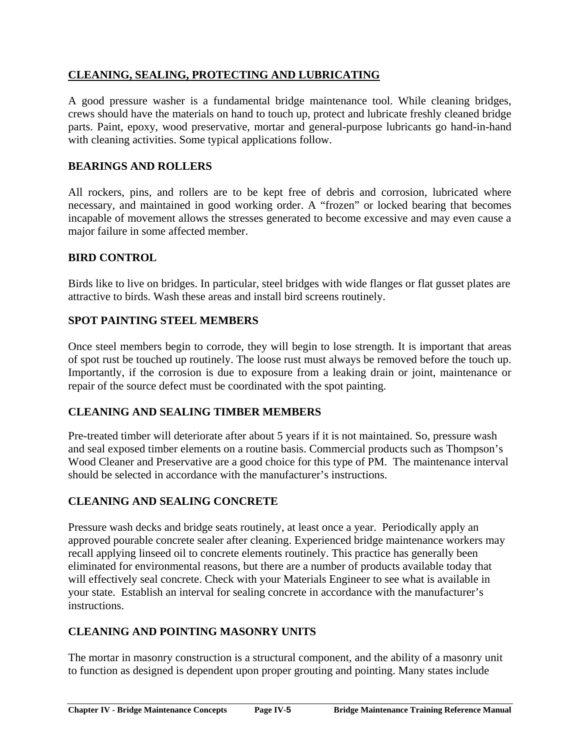# **CLEANING, SEALING, PROTECTING AND LUBRICATING**

A good pressure washer is a fundamental bridge maintenance tool. While cleaning bridges, crews should have the materials on hand to touch up, protect and lubricate freshly cleaned bridge parts. Paint, epoxy, wood preservative, mortar and general-purpose lubricants go hand-in-hand with cleaning activities. Some typical applications follow.

# **BEARINGS AND ROLLERS**

All rockers, pins, and rollers are to be kept free of debris and corrosion, lubricated where necessary, and maintained in good working order. A "frozen" or locked bearing that becomes incapable of movement allows the stresses generated to become excessive and may even cause a major failure in some affected member.

## **BIRD CONTROL**

Birds like to live on bridges. In particular, steel bridges with wide flanges or flat gusset plates are attractive to birds. Wash these areas and install bird screens routinely.

## **SPOT PAINTING STEEL MEMBERS**

Once steel members begin to corrode, they will begin to lose strength. It is important that areas of spot rust be touched up routinely. The loose rust must always be removed before the touch up. Importantly, if the corrosion is due to exposure from a leaking drain or joint, maintenance or repair of the source defect must be coordinated with the spot painting.

## **CLEANING AND SEALING TIMBER MEMBERS**

Pre-treated timber will deteriorate after about 5 years if it is not maintained. So, pressure wash and seal exposed timber elements on a routine basis. Commercial products such as Thompson's Wood Cleaner and Preservative are a good choice for this type of PM. The maintenance interval should be selected in accordance with the manufacturer's instructions.

## **CLEANING AND SEALING CONCRETE**

Pressure wash decks and bridge seats routinely, at least once a year. Periodically apply an approved pourable concrete sealer after cleaning. Experienced bridge maintenance workers may recall applying linseed oil to concrete elements routinely. This practice has generally been eliminated for environmental reasons, but there are a number of products available today that will effectively seal concrete. Check with your Materials Engineer to see what is available in your state. Establish an interval for sealing concrete in accordance with the manufacturer's instructions.

# **CLEANING AND POINTING MASONRY UNITS**

The mortar in masonry construction is a structural component, and the ability of a masonry unit to function as designed is dependent upon proper grouting and pointing. Many states include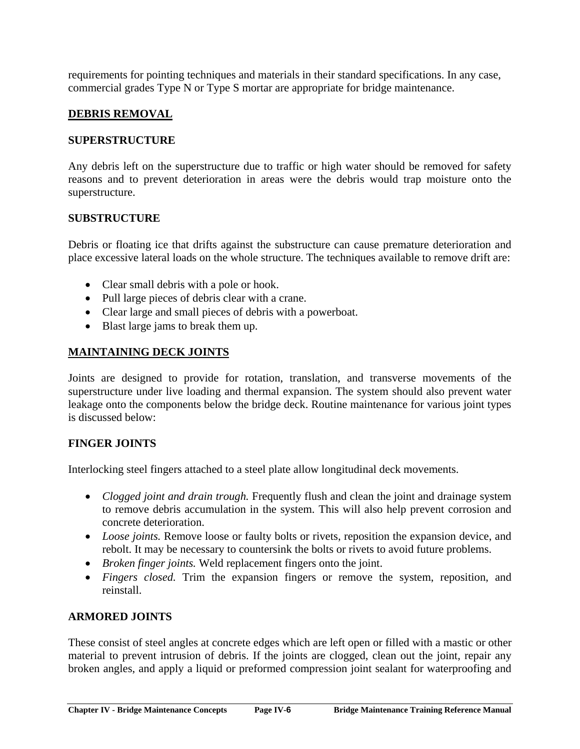requirements for pointing techniques and materials in their standard specifications. In any case, commercial grades Type N or Type S mortar are appropriate for bridge maintenance.

## **DEBRIS REMOVAL**

#### **SUPERSTRUCTURE**

Any debris left on the superstructure due to traffic or high water should be removed for safety reasons and to prevent deterioration in areas were the debris would trap moisture onto the superstructure.

#### **SUBSTRUCTURE**

Debris or floating ice that drifts against the substructure can cause premature deterioration and place excessive lateral loads on the whole structure. The techniques available to remove drift are:

- Clear small debris with a pole or hook.
- Pull large pieces of debris clear with a crane.
- Clear large and small pieces of debris with a powerboat.
- Blast large jams to break them up.

## **MAINTAINING DECK JOINTS**

Joints are designed to provide for rotation, translation, and transverse movements of the superstructure under live loading and thermal expansion. The system should also prevent water leakage onto the components below the bridge deck. Routine maintenance for various joint types is discussed below:

## **FINGER JOINTS**

Interlocking steel fingers attached to a steel plate allow longitudinal deck movements.

- *Clogged joint and drain trough*. Frequently flush and clean the joint and drainage system to remove debris accumulation in the system. This will also help prevent corrosion and concrete deterioration.
- *Loose joints.* Remove loose or faulty bolts or rivets, reposition the expansion device, and rebolt. It may be necessary to countersink the bolts or rivets to avoid future problems.
- *Broken finger joints.* Weld replacement fingers onto the joint.
- *Fingers closed.* Trim the expansion fingers or remove the system, reposition, and reinstall.

## **ARMORED JOINTS**

These consist of steel angles at concrete edges which are left open or filled with a mastic or other material to prevent intrusion of debris. If the joints are clogged, clean out the joint, repair any broken angles, and apply a liquid or preformed compression joint sealant for waterproofing and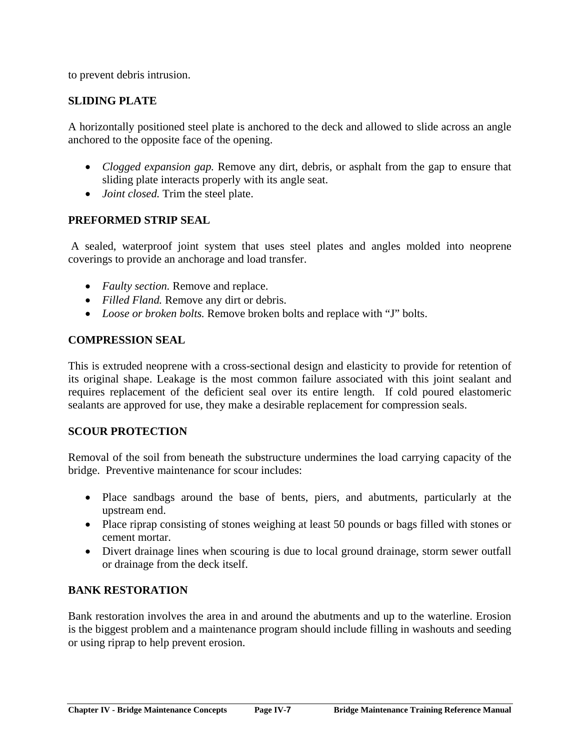to prevent debris intrusion.

## **SLIDING PLATE**

A horizontally positioned steel plate is anchored to the deck and allowed to slide across an angle anchored to the opposite face of the opening.

- *Clogged expansion gap.* Remove any dirt, debris, or asphalt from the gap to ensure that sliding plate interacts properly with its angle seat.
- *Joint closed.* Trim the steel plate.

## **PREFORMED STRIP SEAL**

A sealed, waterproof joint system that uses steel plates and angles molded into neoprene coverings to provide an anchorage and load transfer.

- *Faulty section.* Remove and replace.
- *Filled Fland.* Remove any dirt or debris.
- *Loose or broken bolts.* Remove broken bolts and replace with "J" bolts.

## **COMPRESSION SEAL**

This is extruded neoprene with a cross-sectional design and elasticity to provide for retention of its original shape. Leakage is the most common failure associated with this joint sealant and requires replacement of the deficient seal over its entire length. If cold poured elastomeric sealants are approved for use, they make a desirable replacement for compression seals.

## **SCOUR PROTECTION**

Removal of the soil from beneath the substructure undermines the load carrying capacity of the bridge. Preventive maintenance for scour includes:

- Place sandbags around the base of bents, piers, and abutments, particularly at the upstream end.
- Place riprap consisting of stones weighing at least 50 pounds or bags filled with stones or cement mortar.
- Divert drainage lines when scouring is due to local ground drainage, storm sewer outfall or drainage from the deck itself.

# **BANK RESTORATION**

Bank restoration involves the area in and around the abutments and up to the waterline. Erosion is the biggest problem and a maintenance program should include filling in washouts and seeding or using riprap to help prevent erosion.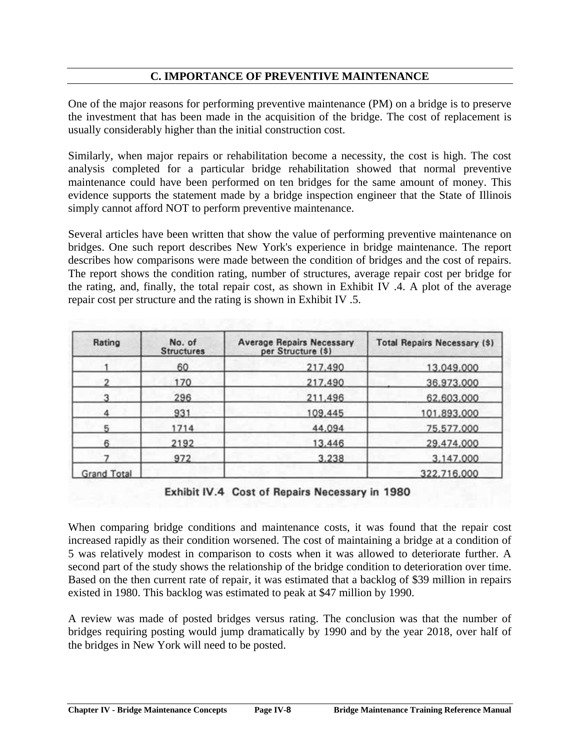# **C. IMPORTANCE OF PREVENTIVE MAINTENANCE**

One of the major reasons for performing preventive maintenance (PM) on a bridge is to preserve the investment that has been made in the acquisition of the bridge. The cost of replacement is usually considerably higher than the initial construction cost.

Similarly, when major repairs or rehabilitation become a necessity, the cost is high. The cost analysis completed for a particular bridge rehabilitation showed that normal preventive maintenance could have been performed on ten bridges for the same amount of money. This evidence supports the statement made by a bridge inspection engineer that the State of Illinois simply cannot afford NOT to perform preventive maintenance.

Several articles have been written that show the value of performing preventive maintenance on bridges. One such report describes New York's experience in bridge maintenance. The report describes how comparisons were made between the condition of bridges and the cost of repairs. The report shows the condition rating, number of structures, average repair cost per bridge for the rating, and, finally, the total repair cost, as shown in Exhibit IV .4. A plot of the average repair cost per structure and the rating is shown in Exhibit IV .5.

| Rating             | No. of<br><b>Structures</b> | <b>Average Repairs Necessary</b><br>per Structure (\$) | <b>Total Repairs Necessary (\$)</b> |  |
|--------------------|-----------------------------|--------------------------------------------------------|-------------------------------------|--|
|                    | 60                          | 217,490                                                | 13,049,000                          |  |
|                    | 170                         | 217,490                                                | 36,973,000                          |  |
|                    | 296                         | 211,496                                                | 62,603,000                          |  |
|                    | 931                         | 109,445                                                | 101,893,000                         |  |
|                    | 1714                        | 44,094                                                 | 75,577,000                          |  |
| 6                  | 2192                        | 13,446                                                 | 29,474,000                          |  |
|                    | 972                         | 3,238                                                  | 3,147,000                           |  |
| <b>Grand Total</b> |                             |                                                        | 322,716,000                         |  |

Exhibit IV.4 Cost of Repairs Necessary in 1980

When comparing bridge conditions and maintenance costs, it was found that the repair cost increased rapidly as their condition worsened. The cost of maintaining a bridge at a condition of 5 was relatively modest in comparison to costs when it was allowed to deteriorate further. A second part of the study shows the relationship of the bridge condition to deterioration over time. Based on the then current rate of repair, it was estimated that a backlog of \$39 million in repairs existed in 1980. This backlog was estimated to peak at \$47 million by 1990.

A review was made of posted bridges versus rating. The conclusion was that the number of bridges requiring posting would jump dramatically by 1990 and by the year 2018, over half of the bridges in New York will need to be posted.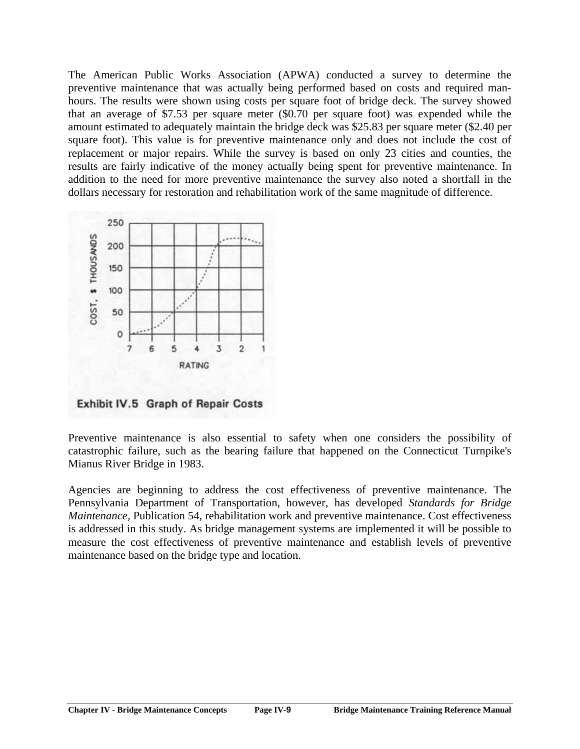The American Public Works Association (APWA) conducted a survey to determine the preventive maintenance that was actually being performed based on costs and required manhours. The results were shown using costs per square foot of bridge deck. The survey showed that an average of \$7.53 per square meter (\$0.70 per square foot) was expended while the amount estimated to adequately maintain the bridge deck was \$25.83 per square meter (\$2.40 per square foot). This value is for preventive maintenance only and does not include the cost of replacement or major repairs. While the survey is based on only 23 cities and counties, the results are fairly indicative of the money actually being spent for preventive maintenance. In addition to the need for more preventive maintenance the survey also noted a shortfall in the dollars necessary for restoration and rehabilitation work of the same magnitude of difference.



Exhibit IV.5 Graph of Repair Costs

Preventive maintenance is also essential to safety when one considers the possibility of catastrophic failure, such as the bearing failure that happened on the Connecticut Turnpike's Mianus River Bridge in 1983.

Agencies are beginning to address the cost effectiveness of preventive maintenance. The Pennsylvania Department of Transportation, however, has developed *Standards for Bridge Maintenance,* Publication 54, rehabilitation work and preventive maintenance. Cost effectiveness is addressed in this study. As bridge management systems are implemented it will be possible to measure the cost effectiveness of preventive maintenance and establish levels of preventive maintenance based on the bridge type and location.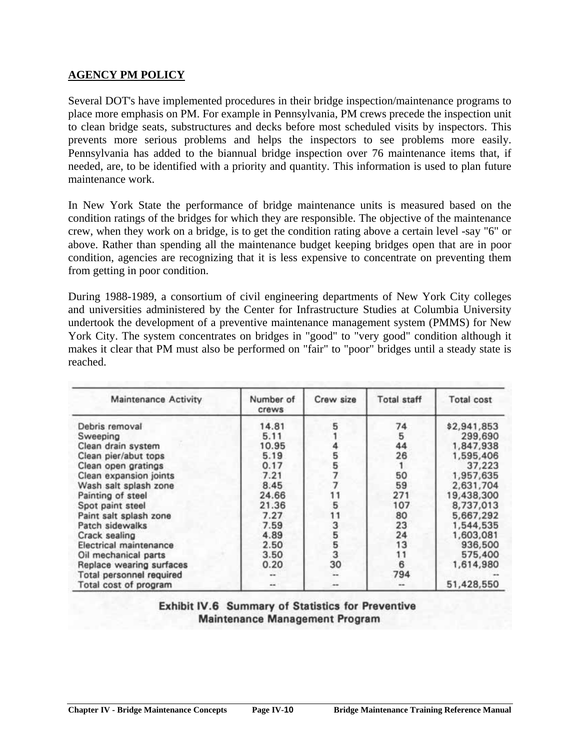## **AGENCY PM POLICY**

Several DOT's have implemented procedures in their bridge inspection/maintenance programs to place more emphasis on PM. For example in Pennsylvania, PM crews precede the inspection unit to clean bridge seats, substructures and decks before most scheduled visits by inspectors. This prevents more serious problems and helps the inspectors to see problems more easily. Pennsylvania has added to the biannual bridge inspection over 76 maintenance items that, if needed, are, to be identified with a priority and quantity. This information is used to plan future maintenance work.

In New York State the performance of bridge maintenance units is measured based on the condition ratings of the bridges for which they are responsible. The objective of the maintenance crew, when they work on a bridge, is to get the condition rating above a certain level -say "6" or above. Rather than spending all the maintenance budget keeping bridges open that are in poor condition, agencies are recognizing that it is less expensive to concentrate on preventing them from getting in poor condition.

During 1988-1989, a consortium of civil engineering departments of New York City colleges and universities administered by the Center for Infrastructure Studies at Columbia University undertook the development of a preventive maintenance management system (PMMS) for New York City. The system concentrates on bridges in "good" to "very good" condition although it makes it clear that PM must also be performed on "fair" to "poor" bridges until a steady state is reached.

| <b>Maintenance Activity</b> | Number of<br>crews<br>14.81 | Crew size<br>5 | <b>Total staff</b><br>74 | <b>Total cost</b><br>\$2,941,853 |
|-----------------------------|-----------------------------|----------------|--------------------------|----------------------------------|
| Debris removal              |                             |                |                          |                                  |
| Sweeping                    | 5.11                        |                | 5                        | 299,690                          |
| Clean drain system          | 10.95                       |                | 44                       | 1,847,938                        |
| Clean pier/abut tops        | 5.19                        | 5              | 26                       | 1,595,406                        |
| Clean open gratings         | 0.17                        |                |                          | 37,223                           |
| Clean expansion joints      | 7.21                        |                | 50                       | 1,957,635                        |
| Wash salt splash zone       | 8.45                        |                | 59                       | 2,631,704                        |
| Painting of steel           | 24.66                       |                | 271                      | 19,438,300                       |
| Spot paint steel            | 21.36                       | 5              | 107                      | 8,737,013                        |
| Paint salt splash zone      | 7.27                        | 11             | 80                       | 5,667,292                        |
| Patch sidewalks             | 7.59                        |                | 23                       | 1,544,535                        |
| Crack sealing               | 4.89                        | 3553           | 24                       | 1,603,081                        |
| Electrical maintenance      | 2.50                        |                | 13                       | 936,500                          |
| Oil mechanical parts        | 3.50                        |                | 11                       | 575,400                          |
| Replace wearing surfaces    | 0.20                        | 30             | 6                        | 1,614,980                        |
| Total personnel required    |                             | $\overline{a}$ | 794                      |                                  |
| Total cost of program       | --                          | --             |                          | 51,428,550                       |

**Exhibit IV.6 Summary of Statistics for Preventive Maintenance Management Program**